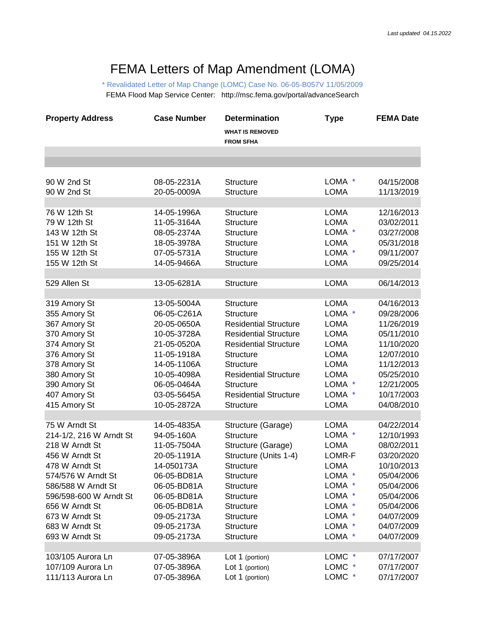## FEMA Letters of Map Amendment (LOMA)

\* Revalidated Letter of Map Change (LOMC) Case No. 06-05-B057V 11/05/2009 FEMA Flood Map Service Center: http://msc.fema.gov/portal/advanceSearch

| <b>Property Address</b> | <b>Case Number</b> | <b>Determination</b>                       | <b>Type</b>                    | <b>FEMA Date</b> |
|-------------------------|--------------------|--------------------------------------------|--------------------------------|------------------|
|                         |                    | <b>WHAT IS REMOVED</b><br><b>FROM SFHA</b> |                                |                  |
|                         |                    |                                            |                                |                  |
|                         |                    |                                            |                                |                  |
| 90 W 2nd St             | 08-05-2231A        | <b>Structure</b>                           | LOMA *                         | 04/15/2008       |
| 90 W 2nd St             | 20-05-0009A        | <b>Structure</b>                           | <b>LOMA</b>                    | 11/13/2019       |
|                         |                    |                                            |                                |                  |
| 76 W 12th St            | 14-05-1996A        | <b>Structure</b>                           | <b>LOMA</b>                    | 12/16/2013       |
| 79 W 12th St            | 11-05-3164A        | <b>Structure</b>                           | <b>LOMA</b>                    | 03/02/2011       |
| 143 W 12th St           | 08-05-2374A        | <b>Structure</b>                           | LOMA *                         | 03/27/2008       |
| 151 W 12th St           | 18-05-3978A        | <b>Structure</b>                           | <b>LOMA</b>                    | 05/31/2018       |
| 155 W 12th St           | 07-05-5731A        | <b>Structure</b>                           | LOMA *                         | 09/11/2007       |
| 155 W 12th St           | 14-05-9466A        | <b>Structure</b>                           | <b>LOMA</b>                    | 09/25/2014       |
|                         |                    |                                            |                                |                  |
| 529 Allen St            | 13-05-6281A        | <b>Structure</b>                           | <b>LOMA</b>                    | 06/14/2013       |
| 319 Amory St            | 13-05-5004A        | <b>Structure</b>                           | LOMA                           | 04/16/2013       |
| 355 Amory St            | 06-05-C261A        | <b>Structure</b>                           | LOMA *                         | 09/28/2006       |
| 367 Amory St            | 20-05-0650A        | <b>Residential Structure</b>               | <b>LOMA</b>                    | 11/26/2019       |
| 370 Amory St            | 10-05-3728A        | <b>Residential Structure</b>               | <b>LOMA</b>                    | 05/11/2010       |
| 374 Amory St            | 21-05-0520A        | <b>Residential Structure</b>               | <b>LOMA</b>                    | 11/10/2020       |
| 376 Amory St            | 11-05-1918A        | <b>Structure</b>                           | <b>LOMA</b>                    | 12/07/2010       |
| 378 Amory St            | 14-05-1106A        | <b>Structure</b>                           | <b>LOMA</b>                    | 11/12/2013       |
| 380 Amory St            | 10-05-4098A        | <b>Residential Structure</b>               | <b>LOMA</b>                    | 05/25/2010       |
| 390 Amory St            | 06-05-0464A        | <b>Structure</b>                           | LOMA *                         | 12/21/2005       |
| 407 Amory St            | 03-05-5645A        | <b>Residential Structure</b>               | LOMA *                         | 10/17/2003       |
| 415 Amory St            | 10-05-2872A        | <b>Structure</b>                           | <b>LOMA</b>                    | 04/08/2010       |
|                         |                    |                                            |                                |                  |
| 75 W Arndt St           | 14-05-4835A        | Structure (Garage)                         | <b>LOMA</b>                    | 04/22/2014       |
| 214-1/2, 216 W Arndt St | 94-05-160A         | <b>Structure</b>                           | LOMA *                         | 12/10/1993       |
| 218 W Arndt St          | 11-05-7504A        | Structure (Garage)                         | <b>LOMA</b>                    | 08/02/2011       |
| 456 W Arndt St          | 20-05-1191A        | Structure (Units 1-4)                      | LOMR-F                         | 03/20/2020       |
| 478 W Arndt St          | 14-050173A         | <b>Structure</b>                           | <b>LOMA</b>                    | 10/10/2013       |
| 574/576 W Arndt St      | 06-05-BD81A        | Structure                                  | LOMA *                         | 05/04/2006       |
| 586/588 W Arndt St      | 06-05-BD81A        | <b>Structure</b>                           | LOMA *                         | 05/04/2006       |
| 596/598-600 W Arndt St  | 06-05-BD81A        | <b>Structure</b>                           | LOMA *                         | 05/04/2006       |
| 656 W Arndt St          | 06-05-BD81A        | <b>Structure</b>                           | LOMA *                         | 05/04/2006       |
| 673 W Arndt St          | 09-05-2173A        | Structure                                  | LOMA *                         | 04/07/2009       |
| 683 W Arndt St          | 09-05-2173A        | <b>Structure</b>                           | LOMA *                         | 04/07/2009       |
| 693 W Arndt St          | 09-05-2173A        | Structure                                  | LOMA *                         | 04/07/2009       |
|                         |                    |                                            |                                |                  |
| 103/105 Aurora Ln       | 07-05-3896A        | Lot 1 (portion)                            | <b>LOMC</b><br>$\mathbf{\ast}$ | 07/17/2007       |
| 107/109 Aurora Ln       | 07-05-3896A        | Lot 1 (portion)                            | <b>LOMC</b><br>$\mathbf{\ast}$ | 07/17/2007       |
| 111/113 Aurora Ln       | 07-05-3896A        | Lot 1 (portion)                            | LOMC *                         | 07/17/2007       |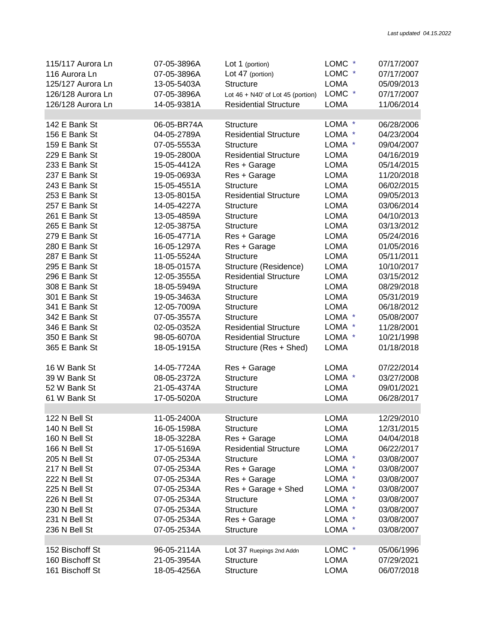| 115/117 Aurora Ln | 07-05-3896A | Lot 1 (portion)                       | LOMC *      | 07/17/2007 |
|-------------------|-------------|---------------------------------------|-------------|------------|
| 116 Aurora Ln     | 07-05-3896A | Lot 47 (portion)                      | LOMC *      | 07/17/2007 |
| 125/127 Aurora Ln | 13-05-5403A | <b>Structure</b>                      | <b>LOMA</b> | 05/09/2013 |
| 126/128 Aurora Ln | 07-05-3896A | Lot $46 + N40'$ of Lot $45$ (portion) | LOMC *      | 07/17/2007 |
| 126/128 Aurora Ln | 14-05-9381A | <b>Residential Structure</b>          | <b>LOMA</b> | 11/06/2014 |
|                   |             |                                       |             |            |
| 142 E Bank St     | 06-05-BR74A | <b>Structure</b>                      | LOMA *      | 06/28/2006 |
| 156 E Bank St     | 04-05-2789A | <b>Residential Structure</b>          | LOMA *      | 04/23/2004 |
| 159 E Bank St     | 07-05-5553A | <b>Structure</b>                      | LOMA *      | 09/04/2007 |
| 229 E Bank St     | 19-05-2800A | <b>Residential Structure</b>          | <b>LOMA</b> | 04/16/2019 |
| 233 E Bank St     | 15-05-4412A | Res + Garage                          | <b>LOMA</b> | 05/14/2015 |
| 237 E Bank St     | 19-05-0693A | Res + Garage                          | <b>LOMA</b> | 11/20/2018 |
| 243 E Bank St     | 15-05-4551A | <b>Structure</b>                      | <b>LOMA</b> | 06/02/2015 |
| 253 E Bank St     | 13-05-8015A | <b>Residential Structure</b>          | <b>LOMA</b> | 09/05/2013 |
| 257 E Bank St     | 14-05-4227A | <b>Structure</b>                      | <b>LOMA</b> | 03/06/2014 |
| 261 E Bank St     | 13-05-4859A | <b>Structure</b>                      | <b>LOMA</b> | 04/10/2013 |
| 265 E Bank St     | 12-05-3875A | <b>Structure</b>                      | <b>LOMA</b> | 03/13/2012 |
| 279 E Bank St     | 16-05-4771A | Res + Garage                          | <b>LOMA</b> | 05/24/2016 |
| 280 E Bank St     | 16-05-1297A | Res + Garage                          | <b>LOMA</b> | 01/05/2016 |
| 287 E Bank St     | 11-05-5524A | <b>Structure</b>                      | <b>LOMA</b> | 05/11/2011 |
| 295 E Bank St     | 18-05-0157A | Structure (Residence)                 | <b>LOMA</b> | 10/10/2017 |
| 296 E Bank St     | 12-05-3555A | <b>Residential Structure</b>          | <b>LOMA</b> | 03/15/2012 |
| 308 E Bank St     | 18-05-5949A | <b>Structure</b>                      | <b>LOMA</b> | 08/29/2018 |
| 301 E Bank St     | 19-05-3463A | Structure                             | <b>LOMA</b> | 05/31/2019 |
| 341 E Bank St     | 12-05-7009A | <b>Structure</b>                      | <b>LOMA</b> | 06/18/2012 |
| 342 E Bank St     | 07-05-3557A | <b>Structure</b>                      | LOMA *      | 05/08/2007 |
| 346 E Bank St     | 02-05-0352A | <b>Residential Structure</b>          | LOMA *      | 11/28/2001 |
| 350 E Bank St     | 98-05-6070A | <b>Residential Structure</b>          | LOMA *      | 10/21/1998 |
| 365 E Bank St     |             |                                       | <b>LOMA</b> | 01/18/2018 |
|                   | 18-05-1915A | Structure (Res + Shed)                |             |            |
| 16 W Bank St      | 14-05-7724A | Res + Garage                          | <b>LOMA</b> | 07/22/2014 |
| 39 W Bank St      | 08-05-2372A | <b>Structure</b>                      | LOMA *      | 03/27/2008 |
| 52 W Bank St      | 21-05-4374A | <b>Structure</b>                      | <b>LOMA</b> | 09/01/2021 |
| 61 W Bank St      | 17-05-5020A | <b>Structure</b>                      | <b>LOMA</b> | 06/28/2017 |
|                   |             |                                       |             |            |
| 122 N Bell St     | 11-05-2400A | Structure                             | <b>LOMA</b> | 12/29/2010 |
| 140 N Bell St     | 16-05-1598A | <b>Structure</b>                      | <b>LOMA</b> | 12/31/2015 |
| 160 N Bell St     | 18-05-3228A | Res + Garage                          | <b>LOMA</b> | 04/04/2018 |
| 166 N Bell St     | 17-05-5169A | <b>Residential Structure</b>          | <b>LOMA</b> | 06/22/2017 |
| 205 N Bell St     | 07-05-2534A | <b>Structure</b>                      | LOMA *      | 03/08/2007 |
| 217 N Bell St     | 07-05-2534A | Res + Garage                          | LOMA *      | 03/08/2007 |
| 222 N Bell St     | 07-05-2534A | Res + Garage                          | LOMA *      | 03/08/2007 |
| 225 N Bell St     | 07-05-2534A | Res + Garage + Shed                   | LOMA *      | 03/08/2007 |
| 226 N Bell St     | 07-05-2534A | <b>Structure</b>                      | LOMA *      | 03/08/2007 |
| 230 N Bell St     | 07-05-2534A | <b>Structure</b>                      | LOMA *      | 03/08/2007 |
| 231 N Bell St     | 07-05-2534A | Res + Garage                          | LOMA *      | 03/08/2007 |
| 236 N Bell St     | 07-05-2534A | <b>Structure</b>                      | LOMA *      | 03/08/2007 |
|                   |             |                                       |             |            |
| 152 Bischoff St   | 96-05-2114A | LOt 37 Ruepings 2nd Addn              | LOMC *      | 05/06/1996 |
| 160 Bischoff St   | 21-05-3954A | <b>Structure</b>                      | <b>LOMA</b> | 07/29/2021 |
| 161 Bischoff St   | 18-05-4256A | <b>Structure</b>                      | <b>LOMA</b> | 06/07/2018 |
|                   |             |                                       |             |            |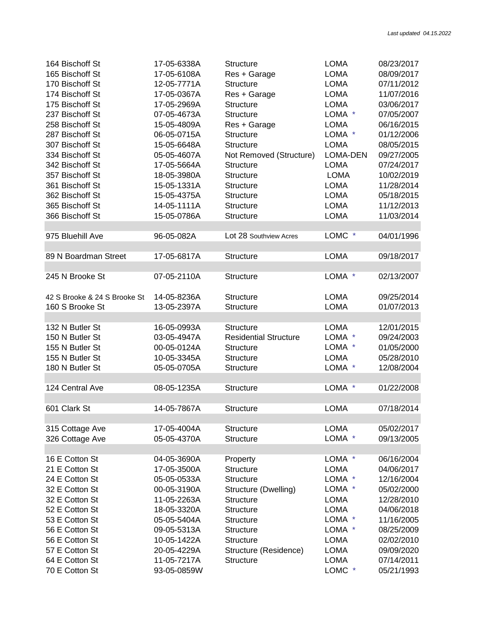| 164 Bischoff St              | 17-05-6338A | <b>Structure</b>             | <b>LOMA</b> | 08/23/2017 |
|------------------------------|-------------|------------------------------|-------------|------------|
| 165 Bischoff St              | 17-05-6108A | Res + Garage                 | <b>LOMA</b> | 08/09/2017 |
| 170 Bischoff St              | 12-05-7771A | <b>Structure</b>             | <b>LOMA</b> | 07/11/2012 |
| 174 Bischoff St              | 17-05-0367A | Res + Garage                 | <b>LOMA</b> | 11/07/2016 |
| 175 Bischoff St              | 17-05-2969A | <b>Structure</b>             | <b>LOMA</b> | 03/06/2017 |
| 237 Bischoff St              | 07-05-4673A | <b>Structure</b>             | LOMA *      | 07/05/2007 |
| 258 Bischoff St              | 15-05-4809A | Res + Garage                 | <b>LOMA</b> | 06/16/2015 |
| 287 Bischoff St              | 06-05-0715A | <b>Structure</b>             | LOMA *      | 01/12/2006 |
| 307 Bischoff St              | 15-05-6648A | <b>Structure</b>             | <b>LOMA</b> | 08/05/2015 |
| 334 Bischoff St              | 05-05-4607A | Not Removed (Structure)      | LOMA-DEN    | 09/27/2005 |
| 342 Bischoff St              | 17-05-5664A | <b>Structure</b>             | <b>LOMA</b> | 07/24/2017 |
| 357 Bischoff St              | 18-05-3980A | <b>Structure</b>             | <b>LOMA</b> | 10/02/2019 |
| 361 Bischoff St              | 15-05-1331A | Structure                    | <b>LOMA</b> | 11/28/2014 |
| 362 Bischoff St              | 15-05-4375A | <b>Structure</b>             | <b>LOMA</b> | 05/18/2015 |
| 365 Bischoff St              | 14-05-1111A | <b>Structure</b>             | <b>LOMA</b> | 11/12/2013 |
| 366 Bischoff St              | 15-05-0786A | <b>Structure</b>             | <b>LOMA</b> | 11/03/2014 |
|                              |             |                              |             |            |
| 975 Bluehill Ave             | 96-05-082A  | Lot 28 Southview Acres       | LOMC *      | 04/01/1996 |
|                              |             |                              |             |            |
| 89 N Boardman Street         | 17-05-6817A | <b>Structure</b>             | <b>LOMA</b> | 09/18/2017 |
|                              |             |                              |             |            |
| 245 N Brooke St              | 07-05-2110A | <b>Structure</b>             | LOMA *      | 02/13/2007 |
| 42 S Brooke & 24 S Brooke St | 14-05-8236A | <b>Structure</b>             | <b>LOMA</b> | 09/25/2014 |
| 160 S Brooke St              | 13-05-2397A | <b>Structure</b>             | <b>LOMA</b> | 01/07/2013 |
|                              |             |                              |             |            |
| 132 N Butler St              | 16-05-0993A | <b>Structure</b>             | <b>LOMA</b> | 12/01/2015 |
| 150 N Butler St              | 03-05-4947A | <b>Residential Structure</b> | LOMA *      | 09/24/2003 |
| 155 N Butler St              | 00-05-0124A | <b>Structure</b>             | LOMA *      | 01/05/2000 |
| 155 N Butler St              | 10-05-3345A | <b>Structure</b>             | <b>LOMA</b> | 05/28/2010 |
| 180 N Butler St              | 05-05-0705A | Structure                    | LOMA *      | 12/08/2004 |
|                              |             |                              |             |            |
| 124 Central Ave              | 08-05-1235A | <b>Structure</b>             | LOMA *      | 01/22/2008 |
|                              |             |                              |             |            |
| 601 Clark St                 | 14-05-7867A | <b>Structure</b>             | <b>LOMA</b> | 07/18/2014 |
|                              |             |                              |             |            |
| 315 Cottage Ave              | 17-05-4004A | <b>Structure</b>             | <b>LOMA</b> | 05/02/2017 |
| 326 Cottage Ave              | 05-05-4370A | <b>Structure</b>             | LOMA *      | 09/13/2005 |
|                              |             |                              |             |            |
| 16 E Cotton St               | 04-05-3690A | Property                     | LOMA *      | 06/16/2004 |
| 21 E Cotton St               | 17-05-3500A | <b>Structure</b>             | <b>LOMA</b> | 04/06/2017 |
| 24 E Cotton St               | 05-05-0533A | <b>Structure</b>             | LOMA *      | 12/16/2004 |
| 32 E Cotton St               | 00-05-3190A | Structure (Dwelling)         | LOMA *      | 05/02/2000 |
| 32 E Cotton St               | 11-05-2263A | <b>Structure</b>             | <b>LOMA</b> | 12/28/2010 |
| 52 E Cotton St               | 18-05-3320A | Structure                    | <b>LOMA</b> | 04/06/2018 |
| 53 E Cotton St               | 05-05-5404A | <b>Structure</b>             | LOMA *      | 11/16/2005 |
| 56 E Cotton St               | 09-05-5313A | <b>Structure</b>             | LOMA *      | 08/25/2009 |
| 56 E Cotton St               | 10-05-1422A | <b>Structure</b>             | <b>LOMA</b> | 02/02/2010 |
| 57 E Cotton St               | 20-05-4229A | Structure (Residence)        | <b>LOMA</b> | 09/09/2020 |
| 64 E Cotton St               | 11-05-7217A | <b>Structure</b>             | <b>LOMA</b> | 07/14/2011 |
| 70 E Cotton St               | 93-05-0859W |                              | LOMC *      | 05/21/1993 |
|                              |             |                              |             |            |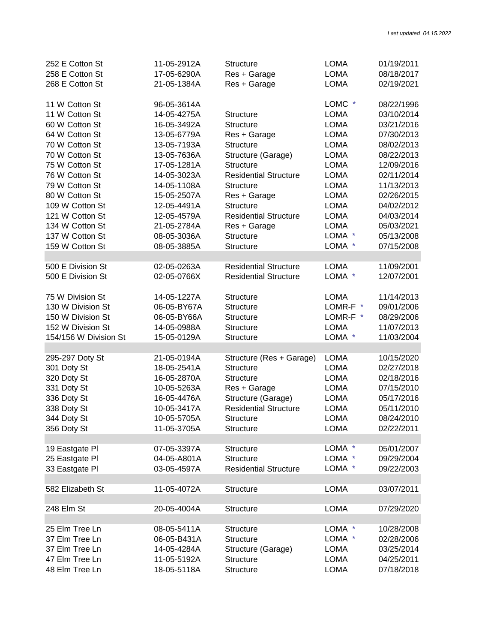| 252 E Cotton St       | 11-05-2912A | <b>Structure</b>             | <b>LOMA</b> | 01/19/2011 |
|-----------------------|-------------|------------------------------|-------------|------------|
| 258 E Cotton St       | 17-05-6290A | Res + Garage                 | <b>LOMA</b> | 08/18/2017 |
| 268 E Cotton St       | 21-05-1384A | Res + Garage                 | <b>LOMA</b> | 02/19/2021 |
|                       |             |                              |             |            |
| 11 W Cotton St        | 96-05-3614A |                              | LOMC *      | 08/22/1996 |
| 11 W Cotton St        | 14-05-4275A | <b>Structure</b>             | <b>LOMA</b> | 03/10/2014 |
| 60 W Cotton St        | 16-05-3492A | <b>Structure</b>             | <b>LOMA</b> | 03/21/2016 |
| 64 W Cotton St        | 13-05-6779A | Res + Garage                 | <b>LOMA</b> | 07/30/2013 |
| 70 W Cotton St        | 13-05-7193A | <b>Structure</b>             | <b>LOMA</b> | 08/02/2013 |
| 70 W Cotton St        | 13-05-7636A | Structure (Garage)           | <b>LOMA</b> | 08/22/2013 |
| 75 W Cotton St        | 17-05-1281A | <b>Structure</b>             | <b>LOMA</b> | 12/09/2016 |
| 76 W Cotton St        | 14-05-3023A | <b>Residential Structure</b> | <b>LOMA</b> | 02/11/2014 |
| 79 W Cotton St        | 14-05-1108A | <b>Structure</b>             | <b>LOMA</b> | 11/13/2013 |
| 80 W Cotton St        | 15-05-2507A | Res + Garage                 | <b>LOMA</b> | 02/26/2015 |
| 109 W Cotton St       | 12-05-4491A | <b>Structure</b>             | <b>LOMA</b> | 04/02/2012 |
| 121 W Cotton St       | 12-05-4579A | <b>Residential Structure</b> | <b>LOMA</b> | 04/03/2014 |
| 134 W Cotton St       | 21-05-2784A | Res + Garage                 | <b>LOMA</b> | 05/03/2021 |
| 137 W Cotton St       | 08-05-3036A | <b>Structure</b>             | LOMA *      | 05/13/2008 |
| 159 W Cotton St       | 08-05-3885A | <b>Structure</b>             | LOMA *      | 07/15/2008 |
|                       |             |                              |             |            |
| 500 E Division St     | 02-05-0263A | <b>Residential Structure</b> | <b>LOMA</b> | 11/09/2001 |
| 500 E Division St     | 02-05-0766X | <b>Residential Structure</b> | LOMA *      | 12/07/2001 |
|                       |             |                              |             |            |
| 75 W Division St      | 14-05-1227A | <b>Structure</b>             | <b>LOMA</b> | 11/14/2013 |
| 130 W Division St     | 06-05-BY67A | <b>Structure</b>             | LOMR-F *    | 09/01/2006 |
| 150 W Division St     | 06-05-BY66A | <b>Structure</b>             | LOMR-F *    | 08/29/2006 |
| 152 W Division St     |             |                              |             |            |
|                       | 14-05-0988A | <b>Structure</b>             | <b>LOMA</b> | 11/07/2013 |
| 154/156 W Division St | 15-05-0129A | <b>Structure</b>             | LOMA *      | 11/03/2004 |
|                       |             |                              |             |            |
| 295-297 Doty St       | 21-05-0194A | Structure (Res + Garage)     | <b>LOMA</b> | 10/15/2020 |
| 301 Doty St           | 18-05-2541A | <b>Structure</b>             | <b>LOMA</b> | 02/27/2018 |
| 320 Doty St           | 16-05-2870A | <b>Structure</b>             | <b>LOMA</b> | 02/18/2016 |
| 331 Doty St           | 10-05-5263A | Res + Garage                 | <b>LOMA</b> | 07/15/2010 |
| 336 Doty St           | 16-05-4476A | Structure (Garage)           | <b>LOMA</b> | 05/17/2016 |
| 338 Doty St           | 10-05-3417A | <b>Residential Structure</b> | <b>LOMA</b> | 05/11/2010 |
| 344 Doty St           | 10-05-5705A | Structure                    | <b>LOMA</b> | 08/24/2010 |
| 356 Doty St           | 11-05-3705A | Structure                    | <b>LOMA</b> | 02/22/2011 |
|                       |             |                              |             |            |
| 19 Eastgate PI        | 07-05-3397A | <b>Structure</b>             | LOMA *      | 05/01/2007 |
| 25 Eastgate PI        | 04-05-A801A | Structure                    | LOMA *      | 09/29/2004 |
| 33 Eastgate Pl        | 03-05-4597A | <b>Residential Structure</b> | LOMA *      | 09/22/2003 |
|                       |             |                              |             |            |
| 582 Elizabeth St      | 11-05-4072A | Structure                    | <b>LOMA</b> | 03/07/2011 |
|                       |             |                              |             |            |
| 248 Elm St            | 20-05-4004A | <b>Structure</b>             | <b>LOMA</b> | 07/29/2020 |
|                       |             |                              |             |            |
| 25 Elm Tree Ln        | 08-05-5411A | <b>Structure</b>             | LOMA *      | 10/28/2008 |
| 37 Elm Tree Ln        | 06-05-B431A | <b>Structure</b>             | LOMA *      | 02/28/2006 |
| 37 Elm Tree Ln        | 14-05-4284A | Structure (Garage)           | <b>LOMA</b> | 03/25/2014 |
| 47 Elm Tree Ln        | 11-05-5192A | <b>Structure</b>             | <b>LOMA</b> | 04/25/2011 |
| 48 Elm Tree Ln        | 18-05-5118A | <b>Structure</b>             | <b>LOMA</b> | 07/18/2018 |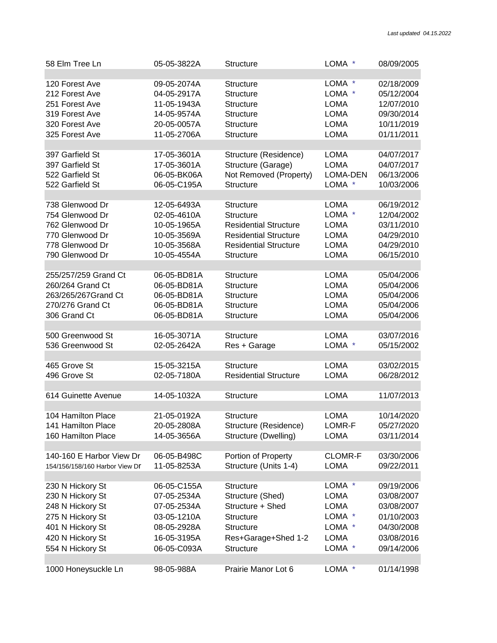| 58 Elm Tree Ln                 | 05-05-3822A | <b>Structure</b>             | LOMA *         | 08/09/2005 |
|--------------------------------|-------------|------------------------------|----------------|------------|
| 120 Forest Ave                 | 09-05-2074A | Structure                    | LOMA *         | 02/18/2009 |
| 212 Forest Ave                 | 04-05-2917A | <b>Structure</b>             | LOMA *         | 05/12/2004 |
| 251 Forest Ave                 | 11-05-1943A | <b>Structure</b>             | <b>LOMA</b>    | 12/07/2010 |
| 319 Forest Ave                 | 14-05-9574A | <b>Structure</b>             | <b>LOMA</b>    | 09/30/2014 |
| 320 Forest Ave                 | 20-05-0057A | <b>Structure</b>             | <b>LOMA</b>    | 10/11/2019 |
| 325 Forest Ave                 | 11-05-2706A | <b>Structure</b>             | <b>LOMA</b>    | 01/11/2011 |
| 397 Garfield St                | 17-05-3601A | Structure (Residence)        | <b>LOMA</b>    | 04/07/2017 |
| 397 Garfield St                | 17-05-3601A | Structure (Garage)           | <b>LOMA</b>    | 04/07/2017 |
| 522 Garfield St                | 06-05-BK06A | Not Removed (Property)       | LOMA-DEN       | 06/13/2006 |
| 522 Garfield St                | 06-05-C195A | <b>Structure</b>             | LOMA *         | 10/03/2006 |
| 738 Glenwood Dr                | 12-05-6493A | <b>Structure</b>             | <b>LOMA</b>    | 06/19/2012 |
| 754 Glenwood Dr                | 02-05-4610A | <b>Structure</b>             | LOMA *         | 12/04/2002 |
| 762 Glenwood Dr                | 10-05-1965A | <b>Residential Structure</b> | <b>LOMA</b>    | 03/11/2010 |
| 770 Glenwood Dr                | 10-05-3569A | <b>Residential Structure</b> | <b>LOMA</b>    | 04/29/2010 |
| 778 Glenwood Dr                | 10-05-3568A | <b>Residential Structure</b> | <b>LOMA</b>    | 04/29/2010 |
| 790 Glenwood Dr                | 10-05-4554A | <b>Structure</b>             | <b>LOMA</b>    | 06/15/2010 |
| 255/257/259 Grand Ct           | 06-05-BD81A | <b>Structure</b>             | <b>LOMA</b>    | 05/04/2006 |
| 260/264 Grand Ct               | 06-05-BD81A | <b>Structure</b>             | <b>LOMA</b>    | 05/04/2006 |
| 263/265/267Grand Ct            | 06-05-BD81A | <b>Structure</b>             | <b>LOMA</b>    | 05/04/2006 |
| 270/276 Grand Ct               | 06-05-BD81A | <b>Structure</b>             | <b>LOMA</b>    | 05/04/2006 |
| 306 Grand Ct                   | 06-05-BD81A | <b>Structure</b>             | <b>LOMA</b>    | 05/04/2006 |
| 500 Greenwood St               | 16-05-3071A | <b>Structure</b>             | <b>LOMA</b>    | 03/07/2016 |
| 536 Greenwood St               | 02-05-2642A | Res + Garage                 | LOMA *         | 05/15/2002 |
| 465 Grove St                   | 15-05-3215A | <b>Structure</b>             | <b>LOMA</b>    | 03/02/2015 |
| 496 Grove St                   | 02-05-7180A | <b>Residential Structure</b> | <b>LOMA</b>    | 06/28/2012 |
| 614 Guinette Avenue            | 14-05-1032A | <b>Structure</b>             | <b>LOMA</b>    | 11/07/2013 |
| 104 Hamilton Place             | 21-05-0192A | Structure                    | <b>LOMA</b>    | 10/14/2020 |
| 141 Hamilton Place             | 20-05-2808A | Structure (Residence)        | LOMR-F         | 05/27/2020 |
| 160 Hamilton Place             | 14-05-3656A | Structure (Dwelling)         | <b>LOMA</b>    | 03/11/2014 |
| 140-160 E Harbor View Dr       | 06-05-B498C | Portion of Property          | <b>CLOMR-F</b> | 03/30/2006 |
| 154/156/158/160 Harbor View Dr | 11-05-8253A | Structure (Units 1-4)        | <b>LOMA</b>    | 09/22/2011 |
| 230 N Hickory St               | 06-05-C155A | <b>Structure</b>             | LOMA *         | 09/19/2006 |
| 230 N Hickory St               | 07-05-2534A | Structure (Shed)             | LOMA           | 03/08/2007 |
| 248 N Hickory St               | 07-05-2534A | Structure + Shed             | <b>LOMA</b>    | 03/08/2007 |
| 275 N Hickory St               | 03-05-1210A | Structure                    | LOMA *         | 01/10/2003 |
| 401 N Hickory St               | 08-05-2928A | <b>Structure</b>             | LOMA *         | 04/30/2008 |
| 420 N Hickory St               | 16-05-3195A | Res+Garage+Shed 1-2          | <b>LOMA</b>    | 03/08/2016 |
| 554 N Hickory St               | 06-05-C093A | <b>Structure</b>             | LOMA *         | 09/14/2006 |
| 1000 Honeysuckle Ln            | 98-05-988A  | Prairie Manor Lot 6          | LOMA *         | 01/14/1998 |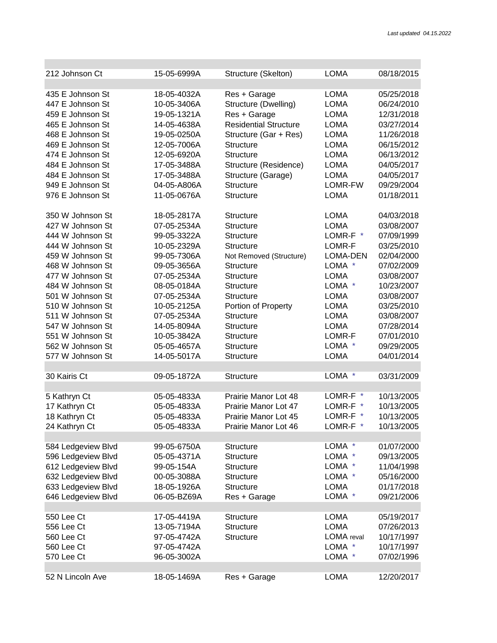e e

| 212 Johnson Ct     | 15-05-6999A | Structure (Skelton)          | <b>LOMA</b>       | 08/18/2015 |
|--------------------|-------------|------------------------------|-------------------|------------|
|                    |             |                              |                   |            |
| 435 E Johnson St   | 18-05-4032A | Res + Garage                 | <b>LOMA</b>       | 05/25/2018 |
| 447 E Johnson St   | 10-05-3406A | Structure (Dwelling)         | <b>LOMA</b>       | 06/24/2010 |
| 459 E Johnson St   | 19-05-1321A | Res + Garage                 | <b>LOMA</b>       | 12/31/2018 |
| 465 E Johnson St   | 14-05-4638A | <b>Residential Structure</b> | <b>LOMA</b>       | 03/27/2014 |
| 468 E Johnson St   | 19-05-0250A | Structure (Gar + Res)        | <b>LOMA</b>       | 11/26/2018 |
| 469 E Johnson St   | 12-05-7006A | <b>Structure</b>             | <b>LOMA</b>       | 06/15/2012 |
| 474 E Johnson St   | 12-05-6920A | <b>Structure</b>             | <b>LOMA</b>       | 06/13/2012 |
| 484 E Johnson St   | 17-05-3488A | Structure (Residence)        | <b>LOMA</b>       | 04/05/2017 |
| 484 E Johnson St   | 17-05-3488A | Structure (Garage)           | <b>LOMA</b>       | 04/05/2017 |
| 949 E Johnson St   | 04-05-A806A | Structure                    | LOMR-FW           | 09/29/2004 |
| 976 E Johnson St   | 11-05-0676A | <b>Structure</b>             | <b>LOMA</b>       | 01/18/2011 |
| 350 W Johnson St   | 18-05-2817A | <b>Structure</b>             | LOMA              | 04/03/2018 |
| 427 W Johnson St   | 07-05-2534A | <b>Structure</b>             | <b>LOMA</b>       | 03/08/2007 |
| 444 W Johnson St   | 99-05-3322A | <b>Structure</b>             | LOMR-F *          | 07/09/1999 |
| 444 W Johnson St   | 10-05-2329A | <b>Structure</b>             | LOMR-F            | 03/25/2010 |
| 459 W Johnson St   | 99-05-7306A | Not Removed (Structure)      | LOMA-DEN          | 02/04/2000 |
| 468 W Johnson St   | 09-05-3656A | Structure                    | LOMA *            | 07/02/2009 |
| 477 W Johnson St   | 07-05-2534A | <b>Structure</b>             | <b>LOMA</b>       | 03/08/2007 |
| 484 W Johnson St   | 08-05-0184A | <b>Structure</b>             | LOMA *            | 10/23/2007 |
| 501 W Johnson St   | 07-05-2534A | <b>Structure</b>             | <b>LOMA</b>       | 03/08/2007 |
| 510 W Johnson St   | 10-05-2125A | Portion of Property          | <b>LOMA</b>       | 03/25/2010 |
| 511 W Johnson St   | 07-05-2534A | <b>Structure</b>             | <b>LOMA</b>       | 03/08/2007 |
| 547 W Johnson St   | 14-05-8094A | <b>Structure</b>             | <b>LOMA</b>       | 07/28/2014 |
| 551 W Johnson St   | 10-05-3842A | <b>Structure</b>             | LOMR-F            | 07/01/2010 |
| 562 W Johnson St   | 05-05-4657A | <b>Structure</b>             | LOMA *            | 09/29/2005 |
| 577 W Johnson St   | 14-05-5017A | <b>Structure</b>             | <b>LOMA</b>       | 04/01/2014 |
|                    |             |                              |                   |            |
| 30 Kairis Ct       | 09-05-1872A | Structure                    | LOMA *            | 03/31/2009 |
|                    |             |                              |                   |            |
| 5 Kathryn Ct       | 05-05-4833A | Prairie Manor Lot 48         | LOMR-F *          | 10/13/2005 |
| 17 Kathryn Ct      | 05-05-4833A | Prairie Manor Lot 47         | LOMR-F *          | 10/13/2005 |
| 18 Kathryn Ct      | 05-05-4833A | Prairie Manor Lot 45         | LOMR-F *          | 10/13/2005 |
| 24 Kathryn Ct      | 05-05-4833A | Prairie Manor Lot 46         | LOMR-F *          | 10/13/2005 |
| 584 Ledgeview Blvd | 99-05-6750A | <b>Structure</b>             | LOMA *            | 01/07/2000 |
| 596 Ledgeview Blvd | 05-05-4371A | <b>Structure</b>             | LOMA *            | 09/13/2005 |
| 612 Ledgeview Blvd | 99-05-154A  | <b>Structure</b>             | LOMA *            | 11/04/1998 |
| 632 Ledgeview Blvd | 00-05-3088A | <b>Structure</b>             | LOMA *            | 05/16/2000 |
| 633 Ledgeview Blvd | 18-05-1926A | <b>Structure</b>             | <b>LOMA</b>       | 01/17/2018 |
| 646 Ledgeview Blvd | 06-05-BZ69A | Res + Garage                 | LOMA *            | 09/21/2006 |
|                    |             |                              |                   |            |
| 550 Lee Ct         | 17-05-4419A | Structure                    | <b>LOMA</b>       | 05/19/2017 |
| 556 Lee Ct         | 13-05-7194A | <b>Structure</b>             | <b>LOMA</b>       | 07/26/2013 |
| 560 Lee Ct         | 97-05-4742A | <b>Structure</b>             | <b>LOMA</b> reval | 10/17/1997 |
| 560 Lee Ct         | 97-05-4742A |                              | LOMA *            | 10/17/1997 |
| 570 Lee Ct         | 96-05-3002A |                              | LOMA *            | 07/02/1996 |
|                    |             |                              |                   |            |
| 52 N Lincoln Ave   | 18-05-1469A | Res + Garage                 | <b>LOMA</b>       | 12/20/2017 |

п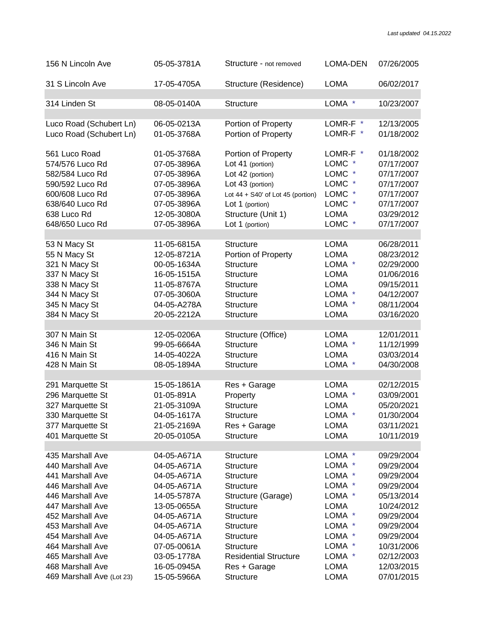| 156 N Lincoln Ave         | 05-05-3781A | Structure - not removed               | <b>LOMA-DEN</b> | 07/26/2005 |
|---------------------------|-------------|---------------------------------------|-----------------|------------|
| 31 S Lincoln Ave          | 17-05-4705A | Structure (Residence)                 | <b>LOMA</b>     | 06/02/2017 |
|                           |             |                                       |                 |            |
| 314 Linden St             | 08-05-0140A | <b>Structure</b>                      | LOMA *          | 10/23/2007 |
|                           |             |                                       |                 |            |
| Luco Road (Schubert Ln)   | 06-05-0213A | Portion of Property                   | LOMR-F *        | 12/13/2005 |
| Luco Road (Schubert Ln)   | 01-05-3768A | Portion of Property                   | LOMR-F *        | 01/18/2002 |
| 561 Luco Road             | 01-05-3768A | Portion of Property                   | LOMR-F *        | 01/18/2002 |
| 574/576 Luco Rd           | 07-05-3896A | Lot 41 (portion)                      | LOMC *          | 07/17/2007 |
| 582/584 Luco Rd           | 07-05-3896A | Lot 42 (portion)                      | LOMC *          | 07/17/2007 |
| 590/592 Luco Rd           | 07-05-3896A | Lot 43 (portion)                      | LOMC *          | 07/17/2007 |
| 600/608 Luco Rd           | 07-05-3896A | Lot $44 + S40'$ of Lot $45$ (portion) | LOMC *          | 07/17/2007 |
| 638/640 Luco Rd           | 07-05-3896A | Lot 1 (portion)                       | LOMC *          | 07/17/2007 |
| 638 Luco Rd               | 12-05-3080A | Structure (Unit 1)                    | <b>LOMA</b>     | 03/29/2012 |
| 648/650 Luco Rd           | 07-05-3896A | Lot 1 (portion)                       | LOMC *          | 07/17/2007 |
|                           |             |                                       |                 |            |
| 53 N Macy St              | 11-05-6815A | <b>Structure</b>                      | <b>LOMA</b>     | 06/28/2011 |
| 55 N Macy St              | 12-05-8721A | Portion of Property                   | <b>LOMA</b>     | 08/23/2012 |
| 321 N Macy St             | 00-05-1634A | <b>Structure</b>                      | LOMA *          | 02/29/2000 |
| 337 N Macy St             | 16-05-1515A | <b>Structure</b>                      | <b>LOMA</b>     | 01/06/2016 |
| 338 N Macy St             | 11-05-8767A | <b>Structure</b>                      | <b>LOMA</b>     | 09/15/2011 |
| 344 N Macy St             | 07-05-3060A | <b>Structure</b>                      | LOMA *          | 04/12/2007 |
| 345 N Macy St             | 04-05-A278A | <b>Structure</b>                      | LOMA *          | 08/11/2004 |
| 384 N Macy St             | 20-05-2212A | <b>Structure</b>                      | <b>LOMA</b>     | 03/16/2020 |
|                           |             |                                       |                 |            |
| 307 N Main St             | 12-05-0206A | Structure (Office)                    | <b>LOMA</b>     | 12/01/2011 |
| 346 N Main St             | 99-05-6664A | <b>Structure</b>                      | LOMA *          | 11/12/1999 |
| 416 N Main St             | 14-05-4022A | <b>Structure</b>                      | <b>LOMA</b>     | 03/03/2014 |
| 428 N Main St             | 08-05-1894A | <b>Structure</b>                      | LOMA *          | 04/30/2008 |
|                           |             |                                       |                 |            |
| 291 Marquette St          | 15-05-1861A | Res + Garage                          | <b>LOMA</b>     | 02/12/2015 |
| 296 Marquette St          | 01-05-891A  | Property                              | LOMA *          | 03/09/2001 |
| 327 Marquette St          | 21-05-3109A | <b>Structure</b>                      | <b>LOMA</b>     | 05/20/2021 |
| 330 Marquette St          | 04-05-1617A | <b>Structure</b>                      | LOMA *          | 01/30/2004 |
| 377 Marquette St          | 21-05-2169A | Res + Garage                          | <b>LOMA</b>     | 03/11/2021 |
| 401 Marquette St          | 20-05-0105A | <b>Structure</b>                      | <b>LOMA</b>     | 10/11/2019 |
|                           |             |                                       |                 |            |
| 435 Marshall Ave          | 04-05-A671A | Structure                             | LOMA *          | 09/29/2004 |
| 440 Marshall Ave          | 04-05-A671A | Structure                             | LOMA *          | 09/29/2004 |
| 441 Marshall Ave          | 04-05-A671A | <b>Structure</b>                      | LOMA *          | 09/29/2004 |
| 446 Marshall Ave          | 04-05-A671A | <b>Structure</b>                      | LOMA *          | 09/29/2004 |
| 446 Marshall Ave          | 14-05-5787A | Structure (Garage)                    | LOMA *          | 05/13/2014 |
| 447 Marshall Ave          | 13-05-0655A | Structure                             | <b>LOMA</b>     | 10/24/2012 |
| 452 Marshall Ave          | 04-05-A671A | <b>Structure</b>                      | LOMA *          | 09/29/2004 |
| 453 Marshall Ave          | 04-05-A671A | <b>Structure</b>                      | LOMA *          | 09/29/2004 |
| 454 Marshall Ave          | 04-05-A671A | <b>Structure</b>                      | LOMA *          | 09/29/2004 |
| 464 Marshall Ave          | 07-05-0061A | <b>Structure</b>                      | LOMA *          | 10/31/2006 |
|                           |             |                                       |                 |            |
| 465 Marshall Ave          | 03-05-1778A | <b>Residential Structure</b>          | LOMA *          | 02/12/2003 |
| 468 Marshall Ave          | 16-05-0945A | Res + Garage                          | LOMA            | 12/03/2015 |
| 469 Marshall Ave (Lot 23) | 15-05-5966A | Structure                             | <b>LOMA</b>     | 07/01/2015 |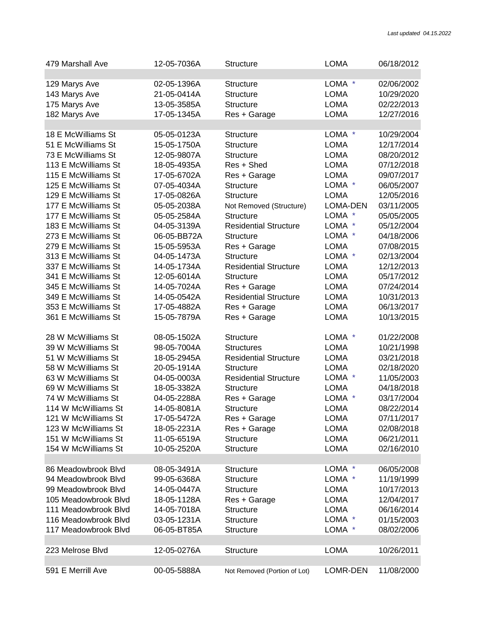| 479 Marshall Ave     | 12-05-7036A | Structure                    | <b>LOMA</b> | 06/18/2012 |
|----------------------|-------------|------------------------------|-------------|------------|
| 129 Marys Ave        | 02-05-1396A | <b>Structure</b>             | LOMA *      | 02/06/2002 |
| 143 Marys Ave        | 21-05-0414A | <b>Structure</b>             | <b>LOMA</b> | 10/29/2020 |
| 175 Marys Ave        | 13-05-3585A | <b>Structure</b>             | <b>LOMA</b> | 02/22/2013 |
| 182 Marys Ave        | 17-05-1345A | Res + Garage                 | <b>LOMA</b> | 12/27/2016 |
|                      |             |                              |             |            |
| 18 E McWilliams St   | 05-05-0123A | <b>Structure</b>             | LOMA *      | 10/29/2004 |
| 51 E McWilliams St   | 15-05-1750A | <b>Structure</b>             | <b>LOMA</b> | 12/17/2014 |
| 73 E McWilliams St   | 12-05-9807A | <b>Structure</b>             | <b>LOMA</b> | 08/20/2012 |
| 113 E McWilliams St  | 18-05-4935A | Res + Shed                   | <b>LOMA</b> | 07/12/2018 |
| 115 E McWilliams St  | 17-05-6702A | Res + Garage                 | <b>LOMA</b> | 09/07/2017 |
| 125 E McWilliams St  | 07-05-4034A | <b>Structure</b>             | LOMA *      | 06/05/2007 |
| 129 E McWilliams St  | 17-05-0826A | <b>Structure</b>             | <b>LOMA</b> | 12/05/2016 |
| 177 E McWilliams St  | 05-05-2038A | Not Removed (Structure)      | LOMA-DEN    | 03/11/2005 |
| 177 E McWilliams St  | 05-05-2584A | Structure                    | LOMA *      | 05/05/2005 |
| 183 E McWilliams St  | 04-05-3139A | <b>Residential Structure</b> | LOMA *      | 05/12/2004 |
| 273 E McWilliams St  | 06-05-BB72A | <b>Structure</b>             | LOMA *      | 04/18/2006 |
| 279 E McWilliams St  | 15-05-5953A | Res + Garage                 | <b>LOMA</b> | 07/08/2015 |
| 313 E McWilliams St  | 04-05-1473A | <b>Structure</b>             | LOMA *      | 02/13/2004 |
| 337 E McWilliams St  | 14-05-1734A | <b>Residential Structure</b> | <b>LOMA</b> | 12/12/2013 |
| 341 E McWilliams St  | 12-05-6014A | <b>Structure</b>             | <b>LOMA</b> | 05/17/2012 |
| 345 E McWilliams St  | 14-05-7024A | Res + Garage                 | <b>LOMA</b> | 07/24/2014 |
| 349 E McWilliams St  | 14-05-0542A | <b>Residential Structure</b> | <b>LOMA</b> | 10/31/2013 |
| 353 E McWilliams St  | 17-05-4882A | Res + Garage                 | <b>LOMA</b> | 06/13/2017 |
| 361 E McWilliams St  | 15-05-7879A | Res + Garage                 | <b>LOMA</b> | 10/13/2015 |
|                      |             |                              |             |            |
| 28 W McWilliams St   | 08-05-1502A | <b>Structure</b>             | LOMA *      | 01/22/2008 |
| 39 W McWilliams St   | 98-05-7004A | <b>Structures</b>            | <b>LOMA</b> | 10/21/1998 |
| 51 W McWilliams St   | 18-05-2945A | <b>Residential Structure</b> | <b>LOMA</b> | 03/21/2018 |
| 58 W McWilliams St   | 20-05-1914A | Structure                    | <b>LOMA</b> | 02/18/2020 |
| 63 W McWilliams St   | 04-05-0003A | <b>Residential Structure</b> | LOMA *      | 11/05/2003 |
| 69 W McWilliams St   | 18-05-3382A | <b>Structure</b>             | <b>LOMA</b> | 04/18/2018 |
| 74 W McWilliams St   | 04-05-2288A | Res + Garage                 | LOMA *      | 03/17/2004 |
| 114 W McWilliams St  | 14-05-8081A | <b>Structure</b>             | <b>LOMA</b> | 08/22/2014 |
| 121 W McWilliams St  | 17-05-5472A | Res + Garage                 | <b>LOMA</b> | 07/11/2017 |
| 123 W McWilliams St  | 18-05-2231A | Res + Garage                 | <b>LOMA</b> | 02/08/2018 |
| 151 W McWilliams St  | 11-05-6519A | <b>Structure</b>             | <b>LOMA</b> | 06/21/2011 |
| 154 W McWilliams St  | 10-05-2520A | <b>Structure</b>             | <b>LOMA</b> | 02/16/2010 |
|                      |             |                              |             |            |
| 86 Meadowbrook Blvd  | 08-05-3491A | Structure                    | LOMA *      | 06/05/2008 |
| 94 Meadowbrook Blvd  | 99-05-6368A | <b>Structure</b>             | LOMA *      | 11/19/1999 |
| 99 Meadowbrook Blvd  | 14-05-0447A | <b>Structure</b>             | <b>LOMA</b> | 10/17/2013 |
| 105 Meadowbrook Blvd | 18-05-1128A | Res + Garage                 | <b>LOMA</b> | 12/04/2017 |
| 111 Meadowbrook Blvd | 14-05-7018A | <b>Structure</b>             | <b>LOMA</b> | 06/16/2014 |
| 116 Meadowbrook Blvd | 03-05-1231A | <b>Structure</b>             | LOMA *      | 01/15/2003 |
| 117 Meadowbrook Blvd | 06-05-BT85A | Structure                    | LOMA *      | 08/02/2006 |
|                      |             |                              |             |            |
| 223 Melrose Blvd     | 12-05-0276A | <b>Structure</b>             | <b>LOMA</b> | 10/26/2011 |
|                      |             |                              |             |            |
| 591 E Merrill Ave    | 00-05-5888A | Not Removed (Portion of Lot) | LOMR-DEN    | 11/08/2000 |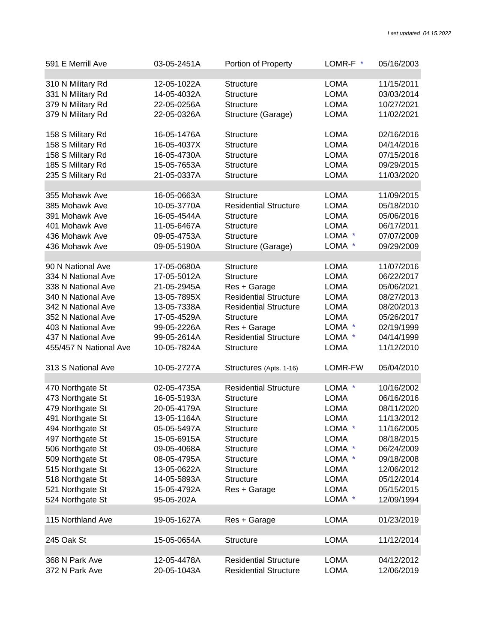| 591 E Merrill Ave      | 03-05-2451A | Portion of Property          | LOMR-F *    | 05/16/2003 |
|------------------------|-------------|------------------------------|-------------|------------|
| 310 N Military Rd      | 12-05-1022A | Structure                    | LOMA        | 11/15/2011 |
| 331 N Military Rd      | 14-05-4032A | <b>Structure</b>             | <b>LOMA</b> | 03/03/2014 |
| 379 N Military Rd      | 22-05-0256A | <b>Structure</b>             | <b>LOMA</b> | 10/27/2021 |
| 379 N Military Rd      | 22-05-0326A | Structure (Garage)           | <b>LOMA</b> | 11/02/2021 |
| 158 S Military Rd      | 16-05-1476A | <b>Structure</b>             | <b>LOMA</b> | 02/16/2016 |
| 158 S Military Rd      | 16-05-4037X | <b>Structure</b>             | <b>LOMA</b> | 04/14/2016 |
| 158 S Military Rd      | 16-05-4730A | Structure                    | <b>LOMA</b> | 07/15/2016 |
| 185 S Military Rd      | 15-05-7653A | <b>Structure</b>             | <b>LOMA</b> | 09/29/2015 |
| 235 S Military Rd      | 21-05-0337A | <b>Structure</b>             | <b>LOMA</b> | 11/03/2020 |
| 355 Mohawk Ave         | 16-05-0663A | <b>Structure</b>             | <b>LOMA</b> | 11/09/2015 |
| 385 Mohawk Ave         | 10-05-3770A | <b>Residential Structure</b> | <b>LOMA</b> | 05/18/2010 |
| 391 Mohawk Ave         | 16-05-4544A | <b>Structure</b>             | <b>LOMA</b> | 05/06/2016 |
| 401 Mohawk Ave         | 11-05-6467A | <b>Structure</b>             | <b>LOMA</b> | 06/17/2011 |
| 436 Mohawk Ave         | 09-05-4753A | <b>Structure</b>             | LOMA *      | 07/07/2009 |
| 436 Mohawk Ave         | 09-05-5190A | Structure (Garage)           | LOMA *      | 09/29/2009 |
| 90 N National Ave      | 17-05-0680A | <b>Structure</b>             | <b>LOMA</b> | 11/07/2016 |
| 334 N National Ave     | 17-05-5012A | Structure                    | <b>LOMA</b> | 06/22/2017 |
| 338 N National Ave     | 21-05-2945A | Res + Garage                 | <b>LOMA</b> | 05/06/2021 |
| 340 N National Ave     | 13-05-7895X | <b>Residential Structure</b> | <b>LOMA</b> | 08/27/2013 |
| 342 N National Ave     | 13-05-7338A | <b>Residential Structure</b> | <b>LOMA</b> | 08/20/2013 |
| 352 N National Ave     | 17-05-4529A | <b>Structure</b>             | <b>LOMA</b> | 05/26/2017 |
| 403 N National Ave     | 99-05-2226A | Res + Garage                 | LOMA *      | 02/19/1999 |
| 437 N National Ave     | 99-05-2614A | <b>Residential Structure</b> | LOMA *      | 04/14/1999 |
| 455/457 N National Ave | 10-05-7824A | <b>Structure</b>             | <b>LOMA</b> | 11/12/2010 |
| 313 S National Ave     | 10-05-2727A | Structures (Apts. 1-16)      | LOMR-FW     | 05/04/2010 |
| 470 Northgate St       | 02-05-4735A | <b>Residential Structure</b> | LOMA *      | 10/16/2002 |
| 473 Northgate St       | 16-05-5193A | <b>Structure</b>             | <b>LOMA</b> | 06/16/2016 |
| 479 Northgate St       | 20-05-4179A | <b>Structure</b>             | <b>LOMA</b> | 08/11/2020 |
| 491 Northgate St       | 13-05-1164A | Structure                    | <b>LOMA</b> | 11/13/2012 |
| 494 Northgate St       | 05-05-5497A | <b>Structure</b>             | LOMA *      | 11/16/2005 |
| 497 Northgate St       | 15-05-6915A | <b>Structure</b>             | <b>LOMA</b> | 08/18/2015 |
| 506 Northgate St       | 09-05-4068A | <b>Structure</b>             | LOMA *      | 06/24/2009 |
| 509 Northgate St       | 08-05-4795A | <b>Structure</b>             | LOMA *      | 09/18/2008 |
| 515 Northgate St       | 13-05-0622A | <b>Structure</b>             | <b>LOMA</b> | 12/06/2012 |
| 518 Northgate St       | 14-05-5893A | <b>Structure</b>             | <b>LOMA</b> | 05/12/2014 |
| 521 Northgate St       | 15-05-4792A | Res + Garage                 | <b>LOMA</b> | 05/15/2015 |
| 524 Northgate St       | 95-05-202A  |                              | LOMA *      | 12/09/1994 |
| 115 Northland Ave      | 19-05-1627A | Res + Garage                 | <b>LOMA</b> | 01/23/2019 |
| 245 Oak St             | 15-05-0654A | <b>Structure</b>             | <b>LOMA</b> | 11/12/2014 |
|                        |             |                              |             |            |
| 368 N Park Ave         | 12-05-4478A | <b>Residential Structure</b> | <b>LOMA</b> | 04/12/2012 |
| 372 N Park Ave         | 20-05-1043A | <b>Residential Structure</b> | <b>LOMA</b> | 12/06/2019 |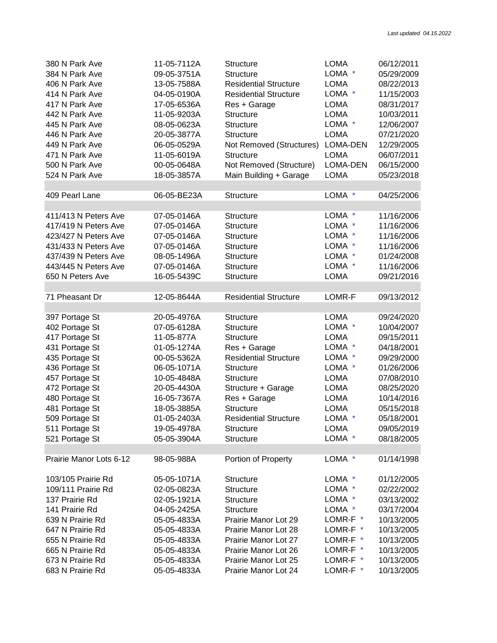| 380 N Park Ave          | 11-05-7112A | <b>Structure</b>             | <b>LOMA</b>     | 06/12/2011 |
|-------------------------|-------------|------------------------------|-----------------|------------|
| 384 N Park Ave          | 09-05-3751A | <b>Structure</b>             | LOMA *          | 05/29/2009 |
| 406 N Park Ave          | 13-05-7588A | <b>Residential Structure</b> | <b>LOMA</b>     | 08/22/2013 |
| 414 N Park Ave          | 04-05-0190A | <b>Residential Structure</b> | LOMA *          | 11/15/2003 |
| 417 N Park Ave          | 17-05-6536A | Res + Garage                 | <b>LOMA</b>     | 08/31/2017 |
| 442 N Park Ave          | 11-05-9203A | <b>Structure</b>             | <b>LOMA</b>     | 10/03/2011 |
| 445 N Park Ave          | 08-05-0623A | <b>Structure</b>             | LOMA *          | 12/06/2007 |
| 446 N Park Ave          | 20-05-3877A | <b>Structure</b>             | <b>LOMA</b>     | 07/21/2020 |
| 449 N Park Ave          | 06-05-0529A |                              | <b>LOMA-DEN</b> | 12/29/2005 |
|                         |             | Not Removed (Structures)     |                 |            |
| 471 N Park Ave          | 11-05-6019A | <b>Structure</b>             | <b>LOMA</b>     | 06/07/2011 |
| 500 N Park Ave          | 00-05-0648A | Not Removed (Structure)      | LOMA-DEN        | 06/15/2000 |
| 524 N Park Ave          | 18-05-3857A | Main Building + Garage       | <b>LOMA</b>     | 05/23/2018 |
| 409 Pearl Lane          | 06-05-BE23A | Structure                    | LOMA *          | 04/25/2006 |
|                         |             |                              |                 |            |
| 411/413 N Peters Ave    | 07-05-0146A | <b>Structure</b>             | LOMA *          | 11/16/2006 |
| 417/419 N Peters Ave    | 07-05-0146A | <b>Structure</b>             | LOMA *          | 11/16/2006 |
| 423/427 N Peters Ave    | 07-05-0146A | <b>Structure</b>             | LOMA *          | 11/16/2006 |
| 431/433 N Peters Ave    | 07-05-0146A | <b>Structure</b>             | LOMA *          | 11/16/2006 |
| 437/439 N Peters Ave    | 08-05-1496A | <b>Structure</b>             | LOMA *          | 01/24/2008 |
|                         |             |                              | LOMA *          | 11/16/2006 |
| 443/445 N Peters Ave    | 07-05-0146A | <b>Structure</b>             |                 |            |
| 650 N Peters Ave        | 16-05-5439C | <b>Structure</b>             | <b>LOMA</b>     | 09/21/2016 |
| 71 Pheasant Dr          | 12-05-8644A | <b>Residential Structure</b> | LOMR-F          | 09/13/2012 |
|                         |             |                              |                 |            |
| 397 Portage St          | 20-05-4976A | <b>Structure</b>             | <b>LOMA</b>     | 09/24/2020 |
| 402 Portage St          | 07-05-6128A | <b>Structure</b>             | LOMA *          | 10/04/2007 |
| 417 Portage St          | 11-05-877A  | <b>Structure</b>             | <b>LOMA</b>     | 09/15/2011 |
| 431 Portage St          | 01-05-1274A | Res + Garage                 | LOMA *          | 04/18/2001 |
| 435 Portage St          | 00-05-5362A | <b>Residential Structure</b> | LOMA *          | 09/29/2000 |
|                         |             |                              |                 |            |
| 436 Portage St          | 06-05-1071A | <b>Structure</b>             | LOMA *          | 01/26/2006 |
| 457 Portage St          | 10-05-4848A | <b>Structure</b>             | <b>LOMA</b>     | 07/08/2010 |
| 472 Portage St          | 20-05-4430A | Structure + Garage           | <b>LOMA</b>     | 08/25/2020 |
| 480 Portage St          | 16-05-7367A | Res + Garage                 | <b>LOMA</b>     | 10/14/2016 |
| 481 Portage St          | 18-05-3885A | <b>Structure</b>             | <b>LOMA</b>     | 05/15/2018 |
| 509 Portage St          | 01-05-2403A | <b>Residential Structure</b> | LOMA *          | 05/18/2001 |
| 511 Portage St          | 19-05-4978A | <b>Structure</b>             | <b>LOMA</b>     | 09/05/2019 |
| 521 Portage St          | 05-05-3904A | Structure                    | LOMA *          | 08/18/2005 |
|                         |             |                              |                 |            |
| Prairie Manor Lots 6-12 | 98-05-988A  | Portion of Property          | LOMA *          | 01/14/1998 |
| 103/105 Prairie Rd      | 05-05-1071A | <b>Structure</b>             | LOMA *          | 01/12/2005 |
| 109/111 Prairie Rd      | 02-05-0823A | <b>Structure</b>             | LOMA *          | 02/22/2002 |
| 137 Prairie Rd          |             | <b>Structure</b>             | LOMA *          | 03/13/2002 |
|                         | 02-05-1921A |                              |                 |            |
| 141 Prairie Rd          | 04-05-2425A | <b>Structure</b>             | LOMA *          | 03/17/2004 |
| 639 N Prairie Rd        | 05-05-4833A | Prairie Manor Lot 29         | LOMR-F *        | 10/13/2005 |
| 647 N Prairie Rd        | 05-05-4833A | Prairie Manor Lot 28         | LOMR-F *        | 10/13/2005 |
| 655 N Prairie Rd        | 05-05-4833A | Prairie Manor Lot 27         | LOMR-F *        | 10/13/2005 |
| 665 N Prairie Rd        | 05-05-4833A | Prairie Manor Lot 26         | LOMR-F *        | 10/13/2005 |
| 673 N Prairie Rd        | 05-05-4833A | Prairie Manor Lot 25         | LOMR-F *        | 10/13/2005 |
| 683 N Prairie Rd        | 05-05-4833A | Prairie Manor Lot 24         | LOMR-F *        | 10/13/2005 |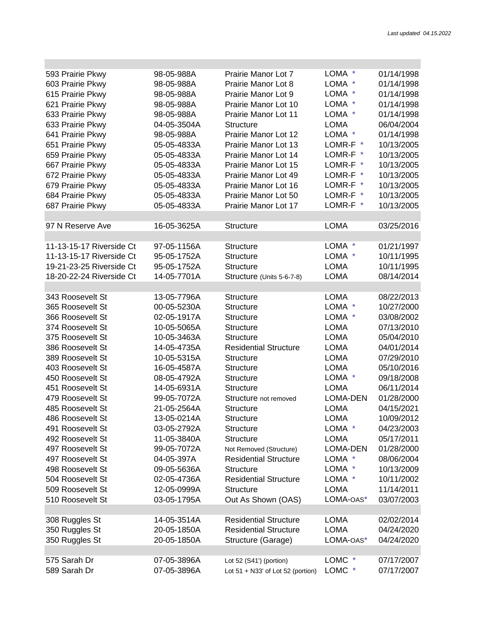e e

| 593 Prairie Pkwy         | 98-05-988A  | Prairie Manor Lot 7               | LOMA *          | 01/14/1998 |
|--------------------------|-------------|-----------------------------------|-----------------|------------|
| 603 Prairie Pkwy         | 98-05-988A  | Prairie Manor Lot 8               | LOMA *          | 01/14/1998 |
| 615 Prairie Pkwy         | 98-05-988A  | Prairie Manor Lot 9               | LOMA *          | 01/14/1998 |
| 621 Prairie Pkwy         | 98-05-988A  | Prairie Manor Lot 10              | LOMA *          | 01/14/1998 |
| 633 Prairie Pkwy         | 98-05-988A  | Prairie Manor Lot 11              | LOMA *          | 01/14/1998 |
| 633 Prairie Pkwy         | 04-05-3504A | <b>Structure</b>                  | <b>LOMA</b>     | 06/04/2004 |
| 641 Prairie Pkwy         | 98-05-988A  | Prairie Manor Lot 12              | LOMA *          | 01/14/1998 |
| 651 Prairie Pkwy         | 05-05-4833A | Prairie Manor Lot 13              | LOMR-F *        | 10/13/2005 |
| 659 Prairie Pkwy         | 05-05-4833A | Prairie Manor Lot 14              | LOMR-F *        | 10/13/2005 |
| 667 Prairie Pkwy         | 05-05-4833A | Prairie Manor Lot 15              | LOMR-F *        | 10/13/2005 |
| 672 Prairie Pkwy         | 05-05-4833A | Prairie Manor Lot 49              | LOMR-F *        | 10/13/2005 |
| 679 Prairie Pkwy         | 05-05-4833A | Prairie Manor Lot 16              | LOMR-F *        | 10/13/2005 |
| 684 Prairie Pkwy         | 05-05-4833A | Prairie Manor Lot 50              | LOMR-F *        | 10/13/2005 |
| 687 Prairie Pkwy         | 05-05-4833A | Prairie Manor Lot 17              | LOMR-F *        | 10/13/2005 |
|                          |             |                                   |                 |            |
| 97 N Reserve Ave         | 16-05-3625A | <b>Structure</b>                  | <b>LOMA</b>     | 03/25/2016 |
|                          |             |                                   |                 |            |
| 11-13-15-17 Riverside Ct | 97-05-1156A | Structure                         | LOMA *          | 01/21/1997 |
| 11-13-15-17 Riverside Ct | 95-05-1752A | <b>Structure</b>                  | LOMA *          | 10/11/1995 |
| 19-21-23-25 Riverside Ct | 95-05-1752A | <b>Structure</b>                  | <b>LOMA</b>     | 10/11/1995 |
| 18-20-22-24 Riverside Ct | 14-05-7701A | Structure (Units 5-6-7-8)         | <b>LOMA</b>     | 08/14/2014 |
|                          |             |                                   |                 |            |
| 343 Roosevelt St         | 13-05-7796A | <b>Structure</b>                  | <b>LOMA</b>     | 08/22/2013 |
| 365 Roosevelt St         | 00-05-5230A | <b>Structure</b>                  | LOMA *          | 10/27/2000 |
| 366 Roosevelt St         | 02-05-1917A | <b>Structure</b>                  | LOMA *          | 03/08/2002 |
| 374 Roosevelt St         | 10-05-5065A | <b>Structure</b>                  | <b>LOMA</b>     | 07/13/2010 |
| 375 Roosevelt St         | 10-05-3463A | <b>Structure</b>                  | <b>LOMA</b>     | 05/04/2010 |
| 386 Roosevelt St         | 14-05-4735A | <b>Residential Structure</b>      | <b>LOMA</b>     | 04/01/2014 |
| 389 Roosevelt St         | 10-05-5315A | <b>Structure</b>                  | <b>LOMA</b>     | 07/29/2010 |
| 403 Roosevelt St         | 16-05-4587A | <b>Structure</b>                  | <b>LOMA</b>     | 05/10/2016 |
| 450 Roosevelt St         | 08-05-4792A | <b>Structure</b>                  | LOMA *          | 09/18/2008 |
| 451 Roosevelt St         | 14-05-6931A | <b>Structure</b>                  | <b>LOMA</b>     | 06/11/2014 |
| 479 Roosevelt St         | 99-05-7072A | Structure not removed             | <b>LOMA-DEN</b> | 01/28/2000 |
| 485 Roosevelt St         | 21-05-2564A | <b>Structure</b>                  | <b>LOMA</b>     | 04/15/2021 |
| 486 Roosevelt St         | 13-05-0214A | <b>Structure</b>                  | <b>LOMA</b>     | 10/09/2012 |
| 491 Roosevelt St         | 03-05-2792A | Structure                         | LOMA *          | 04/23/2003 |
| 492 Roosevelt St         | 11-05-3840A | <b>Structure</b>                  | LOMA            | 05/17/2011 |
| 497 Roosevelt St         | 99-05-7072A | Not Removed (Structure)           | <b>LOMA-DEN</b> | 01/28/2000 |
| 497 Roosevelt St         | 04-05-397A  | <b>Residential Structure</b>      | LOMA *          | 08/06/2004 |
| 498 Roosevelt St         | 09-05-5636A | <b>Structure</b>                  | LOMA *          | 10/13/2009 |
| 504 Roosevelt St         | 02-05-4736A | <b>Residential Structure</b>      | LOMA *          | 10/11/2002 |
| 509 Roosevelt St         | 12-05-0999A | <b>Structure</b>                  | <b>LOMA</b>     | 11/14/2011 |
| 510 Roosevelt St         | 03-05-1795A | Out As Shown (OAS)                | LOMA-OAS*       | 03/07/2003 |
|                          |             |                                   |                 |            |
| 308 Ruggles St           | 14-05-3514A | <b>Residential Structure</b>      | <b>LOMA</b>     | 02/02/2014 |
| 350 Ruggles St           | 20-05-1850A | <b>Residential Structure</b>      | <b>LOMA</b>     | 04/24/2020 |
| 350 Ruggles St           | 20-05-1850A | Structure (Garage)                | LOMA-OAS*       | 04/24/2020 |
|                          |             |                                   |                 |            |
| 575 Sarah Dr             | 07-05-3896A | Lot 52 (S41') (portion)           | LOMC *          | 07/17/2007 |
| 589 Sarah Dr             | 07-05-3896A | Lot 51 + N33' of Lot 52 (portion) | LOMC *          | 07/17/2007 |
|                          |             |                                   |                 |            |

п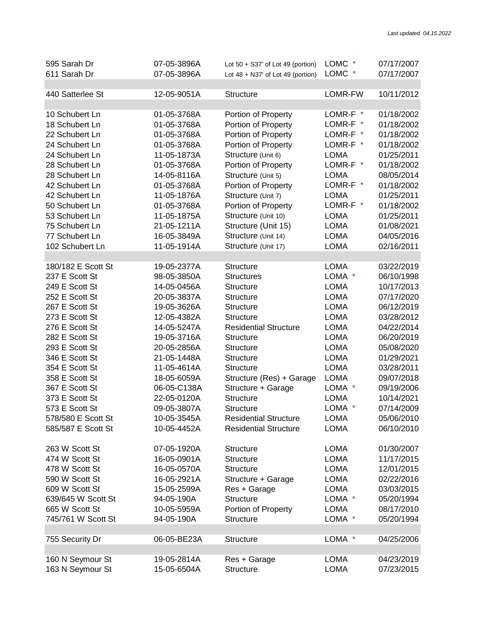| 595 Sarah Dr       | 07-05-3896A | Lot $50 + S37'$ of Lot 49 (portion)   | LOMC *      | 07/17/2007 |
|--------------------|-------------|---------------------------------------|-------------|------------|
| 611 Sarah Dr       | 07-05-3896A | Lot $48 + N37'$ of Lot $49$ (portion) | LOMC *      | 07/17/2007 |
|                    |             |                                       |             |            |
| 440 Satterlee St   | 12-05-9051A | <b>Structure</b>                      | LOMR-FW     | 10/11/2012 |
|                    |             |                                       |             |            |
| 10 Schubert Ln     | 01-05-3768A | Portion of Property                   | LOMR-F *    | 01/18/2002 |
| 18 Schubert Ln     | 01-05-3768A | Portion of Property                   | LOMR-F *    | 01/18/2002 |
| 22 Schubert Ln     | 01-05-3768A | Portion of Property                   | LOMR-F *    | 01/18/2002 |
| 24 Schubert Ln     | 01-05-3768A | Portion of Property                   | LOMR-F *    | 01/18/2002 |
| 24 Schubert Ln     | 11-05-1873A | Structure (Unit 6)                    | <b>LOMA</b> | 01/25/2011 |
|                    |             |                                       | LOMR-F *    |            |
| 28 Schubert Ln     | 01-05-3768A | Portion of Property                   |             | 01/18/2002 |
| 28 Schubert Ln     | 14-05-8116A | Structure (Unit 5)                    | <b>LOMA</b> | 08/05/2014 |
| 42 Schubert Ln     | 01-05-3768A | Portion of Property                   | LOMR-F *    | 01/18/2002 |
| 42 Schubert Ln     | 11-05-1876A | Structure (Unit 7)                    | <b>LOMA</b> | 01/25/2011 |
| 50 Schubert Ln     | 01-05-3768A | Portion of Property                   | LOMR-F *    | 01/18/2002 |
| 53 Schubert Ln     | 11-05-1875A | Structure (Unit 10)                   | <b>LOMA</b> | 01/25/2011 |
| 75 Schubert Ln     | 21-05-1211A | Structure (Unit 15)                   | <b>LOMA</b> | 01/08/2021 |
| 77 Schubert Ln     | 16-05-3849A | Structure (Unit 14)                   | <b>LOMA</b> | 04/05/2016 |
| 102 Schubert Ln    | 11-05-1914A | Structure (Unit 17)                   | <b>LOMA</b> | 02/16/2011 |
|                    |             |                                       |             |            |
| 180/182 E Scott St | 19-05-2377A | <b>Structure</b>                      | <b>LOMA</b> | 03/22/2019 |
| 237 E Scott St     | 98-05-3850A | <b>Structures</b>                     | LOMA *      | 06/10/1998 |
| 249 E Scott St     | 14-05-0456A | <b>Structure</b>                      | <b>LOMA</b> | 10/17/2013 |
| 252 E Scott St     | 20-05-3837A | <b>Structure</b>                      | <b>LOMA</b> | 07/17/2020 |
| 267 E Scott St     | 19-05-3626A | <b>Structure</b>                      | <b>LOMA</b> | 06/12/2019 |
| 273 E Scott St     | 12-05-4382A | <b>Structure</b>                      | <b>LOMA</b> | 03/28/2012 |
| 276 E Scott St     | 14-05-5247A | <b>Residential Structure</b>          | <b>LOMA</b> | 04/22/2014 |
| 282 E Scott St     | 19-05-3716A | <b>Structure</b>                      | <b>LOMA</b> | 06/20/2019 |
| 293 E Scott St     |             |                                       |             |            |
|                    | 20-05-2856A | <b>Structure</b>                      | <b>LOMA</b> | 05/08/2020 |
| 346 E Scott St     | 21-05-1448A | <b>Structure</b>                      | <b>LOMA</b> | 01/29/2021 |
| 354 E Scott St     | 11-05-4614A | <b>Structure</b>                      | <b>LOMA</b> | 03/28/2011 |
| 358 E Scott St     | 18-05-6059A | Structure (Res) + Garage              | <b>LOMA</b> | 09/07/2018 |
| 367 E Scott St     | 06-05-C138A | Structure + Garage                    | LOMA *      | 09/19/2006 |
| 373 E Scott St     | 22-05-0120A | <b>Structure</b>                      | <b>LOMA</b> | 10/14/2021 |
| 573 E Scott St     | 09-05-3807A | <b>Structure</b>                      | LOMA *      | 07/14/2009 |
| 578/580 E Scott St | 10-05-3545A | <b>Residential Structure</b>          | <b>LOMA</b> | 05/06/2010 |
| 585/587 E Scott St | 10-05-4452A | <b>Residential Structure</b>          | <b>LOMA</b> | 06/10/2010 |
|                    |             |                                       |             |            |
| 263 W Scott St     | 07-05-1920A | Structure                             | <b>LOMA</b> | 01/30/2007 |
| 474 W Scott St     | 16-05-0901A | <b>Structure</b>                      | <b>LOMA</b> | 11/17/2015 |
| 478 W Scott St     | 16-05-0570A | <b>Structure</b>                      | <b>LOMA</b> | 12/01/2015 |
| 590 W Scott St     | 16-05-2921A | Structure + Garage                    | <b>LOMA</b> | 02/22/2016 |
| 609 W Scott St     | 15-05-2599A | Res + Garage                          | <b>LOMA</b> | 03/03/2015 |
| 639/645 W Scott St | 94-05-190A  | <b>Structure</b>                      | LOMA *      | 05/20/1994 |
| 665 W Scott St     | 10-05-5959A | Portion of Property                   | <b>LOMA</b> | 08/17/2010 |
| 745/761 W Scott St | 94-05-190A  | <b>Structure</b>                      | LOMA *      | 05/20/1994 |
|                    |             |                                       |             |            |
| 755 Security Dr    | 06-05-BE23A | <b>Structure</b>                      | LOMA *      | 04/25/2006 |
|                    |             |                                       |             |            |
| 160 N Seymour St   | 19-05-2814A | Res + Garage                          | <b>LOMA</b> | 04/23/2019 |
| 163 N Seymour St   | 15-05-6504A | <b>Structure</b>                      | <b>LOMA</b> | 07/23/2015 |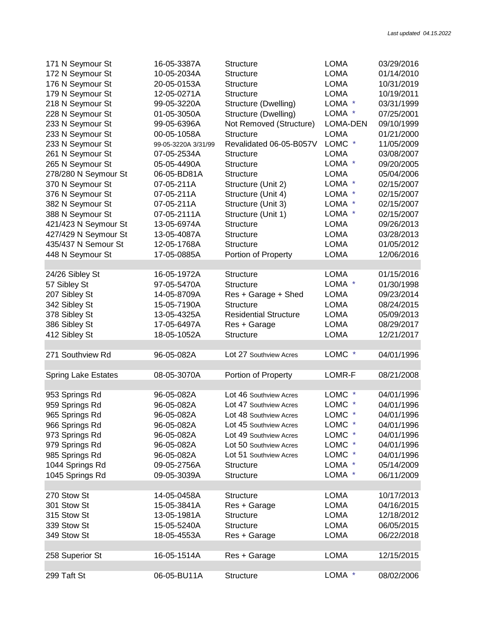| 171 N Seymour St           | 16-05-3387A         | <b>Structure</b>             | <b>LOMA</b> | 03/29/2016 |
|----------------------------|---------------------|------------------------------|-------------|------------|
| 172 N Seymour St           | 10-05-2034A         | <b>Structure</b>             | <b>LOMA</b> | 01/14/2010 |
| 176 N Seymour St           | 20-05-0153A         | <b>Structure</b>             | <b>LOMA</b> | 10/31/2019 |
| 179 N Seymour St           | 12-05-0271A         | <b>Structure</b>             | <b>LOMA</b> | 10/19/2011 |
| 218 N Seymour St           | 99-05-3220A         | Structure (Dwelling)         | LOMA *      | 03/31/1999 |
| 228 N Seymour St           | 01-05-3050A         | Structure (Dwelling)         | LOMA *      | 07/25/2001 |
| 233 N Seymour St           | 99-05-6396A         | Not Removed (Structure)      | LOMA-DEN    | 09/10/1999 |
|                            | 00-05-1058A         | <b>Structure</b>             | <b>LOMA</b> | 01/21/2000 |
| 233 N Seymour St           |                     | Revalidated 06-05-B057V      |             |            |
| 233 N Seymour St           | 99-05-3220A 3/31/99 |                              | LOMC *      | 11/05/2009 |
| 261 N Seymour St           | 07-05-2534A         | <b>Structure</b>             | <b>LOMA</b> | 03/08/2007 |
| 265 N Seymour St           | 05-05-4490A         | <b>Structure</b>             | LOMA *      | 09/20/2005 |
| 278/280 N Seymour St       | 06-05-BD81A         | <b>Structure</b>             | <b>LOMA</b> | 05/04/2006 |
| 370 N Seymour St           | 07-05-211A          | Structure (Unit 2)           | LOMA *      | 02/15/2007 |
| 376 N Seymour St           | 07-05-211A          | Structure (Unit 4)           | LOMA *      | 02/15/2007 |
| 382 N Seymour St           | 07-05-211A          | Structure (Unit 3)           | LOMA *      | 02/15/2007 |
| 388 N Seymour St           | 07-05-2111A         | Structure (Unit 1)           | LOMA *      | 02/15/2007 |
| 421/423 N Seymour St       | 13-05-6974A         | <b>Structure</b>             | <b>LOMA</b> | 09/26/2013 |
| 427/429 N Seymour St       | 13-05-4087A         | <b>Structure</b>             | <b>LOMA</b> | 03/28/2013 |
| 435/437 N Semour St        | 12-05-1768A         | <b>Structure</b>             | <b>LOMA</b> | 01/05/2012 |
| 448 N Seymour St           | 17-05-0885A         | Portion of Property          | <b>LOMA</b> | 12/06/2016 |
|                            |                     |                              |             |            |
| 24/26 Sibley St            | 16-05-1972A         | Structure                    | <b>LOMA</b> | 01/15/2016 |
| 57 Sibley St               | 97-05-5470A         | <b>Structure</b>             | LOMA *      | 01/30/1998 |
| 207 Sibley St              | 14-05-8709A         | Res + Garage + Shed          | <b>LOMA</b> | 09/23/2014 |
| 342 Sibley St              | 15-05-7190A         | <b>Structure</b>             | <b>LOMA</b> | 08/24/2015 |
|                            |                     | <b>Residential Structure</b> | <b>LOMA</b> | 05/09/2013 |
| 378 Sibley St              | 13-05-4325A         |                              |             |            |
| 386 Sibley St              | 17-05-6497A         | Res + Garage                 | <b>LOMA</b> | 08/29/2017 |
| 412 Sibley St              | 18-05-1052A         | <b>Structure</b>             | <b>LOMA</b> | 12/21/2017 |
|                            |                     |                              |             |            |
| 271 Southview Rd           | 96-05-082A          | Lot 27 Southview Acres       | LOMC *      | 04/01/1996 |
|                            |                     |                              |             |            |
| <b>Spring Lake Estates</b> | 08-05-3070A         | Portion of Property          | LOMR-F      | 08/21/2008 |
|                            |                     |                              |             |            |
| 953 Springs Rd             | 96-05-082A          | Lot 46 Southview Acres       | LOMC *      | 04/01/1996 |
| 959 Springs Rd             | 96-05-082A          | Lot 47 Southview Acres       | LOMC *      | 04/01/1996 |
| 965 Springs Rd             | 96-05-082A          | Lot 48 Southview Acres       | LOMC *      | 04/01/1996 |
| 966 Springs Rd             | 96-05-082A          | Lot 45 Southview Acres       | LOMC *      | 04/01/1996 |
| 973 Springs Rd             | 96-05-082A          | Lot 49 Southview Acres       | LOMC *      | 04/01/1996 |
| 979 Springs Rd             | 96-05-082A          | Lot 50 Southview Acres       | LOMC *      | 04/01/1996 |
| 985 Springs Rd             | 96-05-082A          | Lot 51 Southview Acres       | LOMC *      | 04/01/1996 |
| 1044 Springs Rd            | 09-05-2756A         | <b>Structure</b>             | LOMA *      | 05/14/2009 |
| 1045 Springs Rd            | 09-05-3039A         | <b>Structure</b>             | LOMA *      | 06/11/2009 |
|                            |                     |                              |             |            |
| 270 Stow St                | 14-05-0458A         | <b>Structure</b>             | LOMA        | 10/17/2013 |
| 301 Stow St                | 15-05-3841A         | Res + Garage                 | LOMA        | 04/16/2015 |
| 315 Stow St                | 13-05-1981A         | <b>Structure</b>             | LOMA        | 12/18/2012 |
| 339 Stow St                | 15-05-5240A         | <b>Structure</b>             | LOMA        | 06/05/2015 |
| 349 Stow St                |                     |                              |             | 06/22/2018 |
|                            | 18-05-4553A         | Res + Garage                 | LOMA        |            |
|                            |                     |                              |             |            |
| 258 Superior St            | 16-05-1514A         | Res + Garage                 | <b>LOMA</b> | 12/15/2015 |
|                            |                     |                              |             |            |
| 299 Taft St                | 06-05-BU11A         | Structure                    | LOMA *      | 08/02/2006 |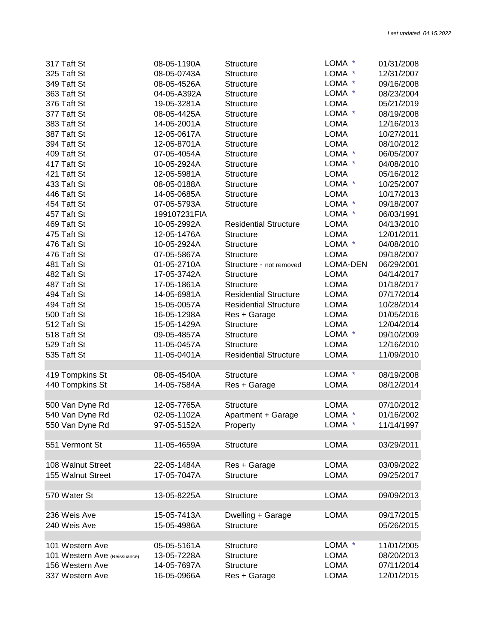| 317 Taft St                  | 08-05-1190A  | <b>Structure</b>             | LOMA *      | 01/31/2008 |
|------------------------------|--------------|------------------------------|-------------|------------|
| 325 Taft St                  | 08-05-0743A  | <b>Structure</b>             | LOMA *      | 12/31/2007 |
| 349 Taft St                  | 08-05-4526A  | <b>Structure</b>             | LOMA *      | 09/16/2008 |
| 363 Taft St                  | 04-05-A392A  | <b>Structure</b>             | LOMA *      | 08/23/2004 |
| 376 Taft St                  | 19-05-3281A  | <b>Structure</b>             | <b>LOMA</b> | 05/21/2019 |
| 377 Taft St                  | 08-05-4425A  | <b>Structure</b>             | LOMA *      | 08/19/2008 |
| 383 Taft St                  | 14-05-2001A  | <b>Structure</b>             | <b>LOMA</b> | 12/16/2013 |
| 387 Taft St                  | 12-05-0617A  | <b>Structure</b>             | <b>LOMA</b> | 10/27/2011 |
| 394 Taft St                  | 12-05-8701A  | <b>Structure</b>             | <b>LOMA</b> | 08/10/2012 |
| 409 Taft St                  | 07-05-4054A  | <b>Structure</b>             | LOMA *      | 06/05/2007 |
| 417 Taft St                  | 10-05-2924A  | <b>Structure</b>             | LOMA *      | 04/08/2010 |
| 421 Taft St                  | 12-05-5981A  | Structure                    | <b>LOMA</b> | 05/16/2012 |
| 433 Taft St                  | 08-05-0188A  | Structure                    | LOMA *      | 10/25/2007 |
| 446 Taft St                  | 14-05-0685A  | Structure                    | <b>LOMA</b> | 10/17/2013 |
| 454 Taft St                  | 07-05-5793A  | Structure                    | LOMA *      | 09/18/2007 |
| 457 Taft St                  | 199107231FIA |                              | LOMA *      | 06/03/1991 |
| 469 Taft St                  | 10-05-2992A  | <b>Residential Structure</b> | <b>LOMA</b> | 04/13/2010 |
|                              |              |                              |             | 12/01/2011 |
| 475 Taft St                  | 12-05-1476A  | <b>Structure</b>             | <b>LOMA</b> |            |
| 476 Taft St                  | 10-05-2924A  | <b>Structure</b>             | LOMA *      | 04/08/2010 |
| 476 Taft St                  | 07-05-5867A  | <b>Structure</b>             | <b>LOMA</b> | 09/18/2007 |
| 481 Taft St                  | 01-05-2710A  | Structure - not removed      | LOMA-DEN    | 06/29/2001 |
| 482 Taft St                  | 17-05-3742A  | <b>Structure</b>             | <b>LOMA</b> | 04/14/2017 |
| 487 Taft St                  | 17-05-1861A  | <b>Structure</b>             | <b>LOMA</b> | 01/18/2017 |
| 494 Taft St                  | 14-05-6981A  | <b>Residential Structure</b> | <b>LOMA</b> | 07/17/2014 |
| 494 Taft St                  | 15-05-0057A  | <b>Residential Structure</b> | <b>LOMA</b> | 10/28/2014 |
| 500 Taft St                  | 16-05-1298A  | Res + Garage                 | <b>LOMA</b> | 01/05/2016 |
| 512 Taft St                  | 15-05-1429A  | <b>Structure</b>             | <b>LOMA</b> | 12/04/2014 |
| 518 Taft St                  | 09-05-4857A  | <b>Structure</b>             | LOMA *      | 09/10/2009 |
| 529 Taft St                  | 11-05-0457A  | <b>Structure</b>             | <b>LOMA</b> | 12/16/2010 |
| 535 Taft St                  | 11-05-0401A  | <b>Residential Structure</b> | <b>LOMA</b> | 11/09/2010 |
|                              |              |                              |             |            |
| 419 Tompkins St              | 08-05-4540A  | <b>Structure</b>             | LOMA *      | 08/19/2008 |
| 440 Tompkins St              | 14-05-7584A  | Res + Garage                 | <b>LOMA</b> | 08/12/2014 |
|                              |              |                              |             |            |
| 500 Van Dyne Rd              | 12-05-7765A  | <b>Structure</b>             | <b>LOMA</b> | 07/10/2012 |
| 540 Van Dyne Rd              | 02-05-1102A  | Apartment + Garage           | LOMA *      | 01/16/2002 |
| 550 Van Dyne Rd              | 97-05-5152A  | Property                     | LOMA        | 11/14/1997 |
|                              |              |                              |             |            |
| 551 Vermont St               | 11-05-4659A  | <b>Structure</b>             | <b>LOMA</b> | 03/29/2011 |
|                              |              |                              |             |            |
| 108 Walnut Street            | 22-05-1484A  | Res + Garage                 | <b>LOMA</b> | 03/09/2022 |
| 155 Walnut Street            | 17-05-7047A  | <b>Structure</b>             | <b>LOMA</b> | 09/25/2017 |
|                              |              |                              |             |            |
| 570 Water St                 | 13-05-8225A  | <b>Structure</b>             | <b>LOMA</b> | 09/09/2013 |
|                              |              |                              |             |            |
| 236 Weis Ave                 | 15-05-7413A  | Dwelling + Garage            | <b>LOMA</b> | 09/17/2015 |
| 240 Weis Ave                 | 15-05-4986A  | <b>Structure</b>             |             | 05/26/2015 |
|                              |              |                              |             |            |
| 101 Western Ave              |              |                              | LOMA *      |            |
| 101 Western Ave (Reissuance) | 05-05-5161A  | Structure                    |             | 11/01/2005 |
|                              | 13-05-7228A  | <b>Structure</b>             | <b>LOMA</b> | 08/20/2013 |
| 156 Western Ave              | 14-05-7697A  | Structure                    | <b>LOMA</b> | 07/11/2014 |
| 337 Western Ave              | 16-05-0966A  | Res + Garage                 | <b>LOMA</b> | 12/01/2015 |